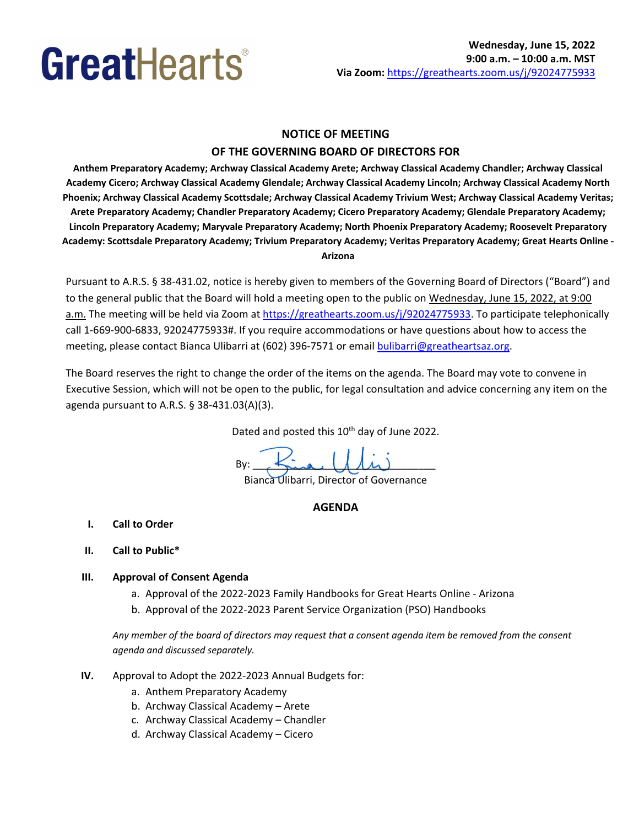# **NOTICE OF MEETING**

# **OF THE GOVERNING BOARD OF DIRECTORS FOR**

 **Anthem Preparatory Academy; Archway Classical Academy Arete; Archway Classical Academy Chandler; Archway Classical Academy Cicero; Archway Classical Academy Glendale; Archway Classical Academy Lincoln; Archway Classical Academy North Phoenix; Archway Classical Academy Scottsdale; Archway Classical Academy Trivium West; Archway Classical Academy Veritas; Arete Preparatory Academy; Chandler Preparatory Academy; Cicero Preparatory Academy; Glendale Preparatory Academy; Lincoln Preparatory Academy; Maryvale Preparatory Academy; North Phoenix Preparatory Academy; Roosevelt Preparatory Academy: Scottsdale Preparatory Academy; Trivium Preparatory Academy; Veritas Preparatory Academy; Great Hearts Online - Arizona** 

 Pursuant to A.R.S. § [38-431.02,](https://38-431.02) notice is hereby given to members of the Governing Board of Directors ("Board") and to the general public that the Board will hold a meeting open to the public on Wednesday, June 15, 2022, at 9:00 a.m. The meeting will be held via Zoom at *https://greathearts.zoom.us/j/92024775933*. To participate telephonically call 1-669-900-6833, 92024775933#. If you require accommodations or have questions about how to access the meeting, please contact Bianca Ulibarri at (602) 396-7571 or email **bulibarri@greatheartsaz.org**.

 The Board reserves the right to change the order of the items on the agenda. The Board may vote to convene in Executive Session, which will not be open to the public, for legal consultation and advice concerning any item on the agenda pursuant to A.R.S. § 38-431.03(A)(3).

Dated and posted this 10<sup>th</sup> day of June 2022.

Bianca Ulibarri, Director of Governance  $By:$   $\frac{1}{2}$   $\frac{1}{2}$   $\frac{1}{2}$   $\frac{1}{2}$   $\frac{1}{2}$   $\frac{1}{2}$   $\frac{1}{2}$   $\frac{1}{2}$   $\frac{1}{2}$   $\frac{1}{2}$   $\frac{1}{2}$   $\frac{1}{2}$   $\frac{1}{2}$   $\frac{1}{2}$   $\frac{1}{2}$   $\frac{1}{2}$   $\frac{1}{2}$   $\frac{1}{2}$   $\frac{1}{2}$   $\frac{1}{2}$   $\frac{1}{2}$   $\frac{1}{$ 

## **AGENDA**

- **I. Call to Order**
- **II. Call to Public\***

## **III. Approval of Consent Agenda**

- a. Approval of the 2022-2023 Family Handbooks for Great Hearts Online Arizona
- b. Approval of the 2022-2023 Parent Service Organization (PSO) Handbooks

 *Any member of the board of directors may request that a consent agenda item be removed from the consent agenda and discussed separately.* 

- **IV.** Approval to Adopt the 2022-2023 Annual Budgets for:
	- a. Anthem Preparatory Academy
	- b. Archway Classical Academy Arete
	- c. Archway Classical Academy Chandler
	- d. Archway Classical Academy Cicero